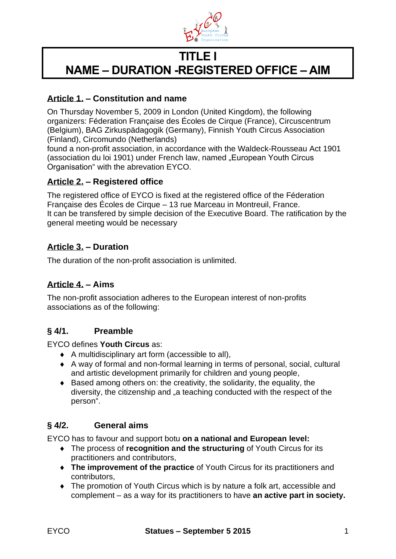

# **TITLE I NAME – DURATION -REGISTERED OFFICE – AIM**

# **Article 1. – Constitution and name**

On Thursday November 5, 2009 in London (United Kingdom), the following organizers: Féderation Française des Écoles de Cirque (France), Circuscentrum (Belgium), BAG Zirkuspädagogik (Germany), Finnish Youth Circus Association (Finland), Circomundo (Netherlands)

found a non-profit association, in accordance with the Waldeck-Rousseau Act 1901 (association du loi 1901) under French law, named "European Youth Circus Organisation" with the abrevation EYCO.

# **Article 2. – Registered office**

The registered office of EYCO is fixed at the registered office of the Féderation Française des Écoles de Cirque – 13 rue Marceau in Montreuil, France. It can be transfered by simple decision of the Executive Board. The ratification by the general meeting would be necessary

## **Article 3. – Duration**

The duration of the non-profit association is unlimited.

## **Article 4. – Aims**

The non-profit association adheres to the European interest of non-profits associations as of the following:

## **§ 4/1. Preamble**

EYCO defines **Youth Circus** as:

- A multidisciplinary art form (accessible to all),
- A way of formal and non-formal learning in terms of personal, social, cultural and artistic development primarily for children and young people,
- $\bullet$  Based among others on: the creativity, the solidarity, the equality, the diversity, the citizenship and "a teaching conducted with the respect of the person".

## **§ 4/2. General aims**

EYCO has to favour and support botu **on a national and European level:**

- The process of **recognition and the structuring** of Youth Circus for its practitioners and contributors,
- **The improvement of the practice** of Youth Circus for its practitioners and contributors,
- The promotion of Youth Circus which is by nature a folk art, accessible and complement – as a way for its practitioners to have **an active part in society.**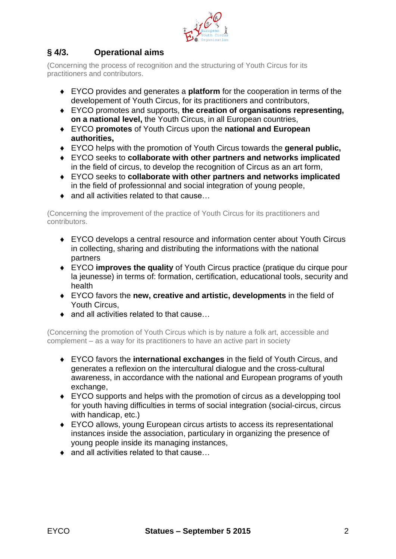

# **§ 4/3. Operational aims**

(Concerning the process of recognition and the structuring of Youth Circus for its practitioners and contributors.

- EYCO provides and generates a **platform** for the cooperation in terms of the developement of Youth Circus, for its practitioners and contributors,
- EYCO promotes and supports, **the creation of organisations representing, on a national level,** the Youth Circus, in all European countries,
- EYCO **promotes** of Youth Circus upon the **national and European authorities,**
- EYCO helps with the promotion of Youth Circus towards the **general public,**
- EYCO seeks to **collaborate with other partners and networks implicated**  in the field of circus, to develop the recognition of Circus as an art form,
- EYCO seeks to **collaborate with other partners and networks implicated**  in the field of professionnal and social integration of young people,
- ◆ and all activities related to that cause...

(Concerning the improvement of the practice of Youth Circus for its practitioners and contributors.

- EYCO develops a central resource and information center about Youth Circus in collecting, sharing and distributing the informations with the national partners
- EYCO **improves the quality** of Youth Circus practice (pratique du cirque pour la jeunesse) in terms of: formation, certification, educational tools, security and health
- EYCO favors the **new, creative and artistic, developments** in the field of Youth Circus,
- ◆ and all activities related to that cause...

(Concerning the promotion of Youth Circus which is by nature a folk art, accessible and complement – as a way for its practitioners to have an active part in society

- EYCO favors the **international exchanges** in the field of Youth Circus, and generates a reflexion on the intercultural dialogue and the cross-cultural awareness, in accordance with the national and European programs of youth exchange,
- EYCO supports and helps with the promotion of circus as a developping tool for youth having difficulties in terms of social integration (social-circus, circus with handicap, etc.)
- EYCO allows, young European circus artists to access its representational instances inside the association, particulary in organizing the presence of young people inside its managing instances,
- ◆ and all activities related to that cause...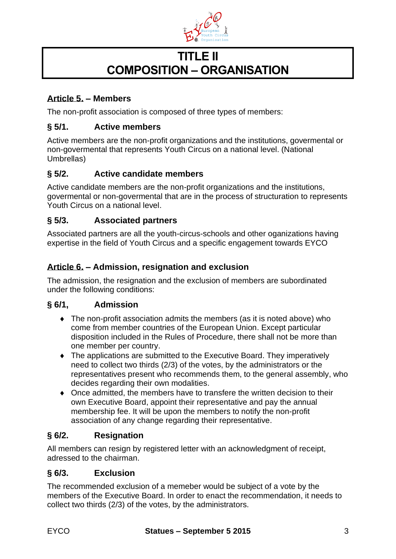

# **TITLE II COMPOSITION – ORGANISATION**

# **Article 5. – Members**

The non-profit association is composed of three types of members:

# **§ 5/1. Active members**

Active members are the non-profit organizations and the institutions, govermental or non-govermental that represents Youth Circus on a national level. (National Umbrellas)

# **§ 5/2. Active candidate members**

Active candidate members are the non-profit organizations and the institutions, govermental or non-govermental that are in the process of structuration to represents Youth Circus on a national level.

# **§ 5/3. Associated partners**

Associated partners are all the youth-circus-schools and other oganizations having expertise in the field of Youth Circus and a specific engagement towards EYCO

# **Article 6. – Admission, resignation and exclusion**

The admission, the resignation and the exclusion of members are subordinated under the following conditions:

## **§ 6/1, Admission**

- The non-profit association admits the members (as it is noted above) who come from member countries of the European Union. Except particular disposition included in the Rules of Procedure, there shall not be more than one member per country.
- The applications are submitted to the Executive Board. They imperatively need to collect two thirds (2/3) of the votes, by the administrators or the representatives present who recommends them, to the general assembly, who decides regarding their own modalities.
- Once admitted, the members have to transfere the written decision to their own Executive Board, appoint their representative and pay the annual membership fee. It will be upon the members to notify the non-profit association of any change regarding their representative.

## **§ 6/2. Resignation**

All members can resign by registered letter with an acknowledgment of receipt, adressed to the chairman.

## **§ 6/3. Exclusion**

The recommended exclusion of a memeber would be subject of a vote by the members of the Executive Board. In order to enact the recommendation, it needs to collect two thirds (2/3) of the votes, by the administrators.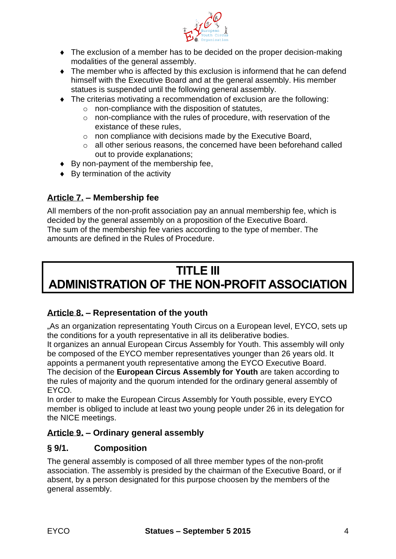

- The exclusion of a member has to be decided on the proper decision-making modalities of the general assembly.
- The member who is affected by this exclusion is informend that he can defend himself with the Executive Board and at the general assembly. His member statues is suspended until the following general assembly.
- The criterias motivating a recommendation of exclusion are the following:
	- o non-compliance with the disposition of statutes,
	- o non-compliance with the rules of procedure, with reservation of the existance of these rules,
	- o non compliance with decisions made by the Executive Board,
	- o all other serious reasons, the concerned have been beforehand called out to provide explanations;
- ◆ By non-payment of the membership fee,
- ◆ By termination of the activity

# **Article 7. – Membership fee**

All members of the non-profit association pay an annual membership fee, which is decided by the general assembly on a proposition of the Executive Board. The sum of the membership fee varies according to the type of member. The amounts are defined in the Rules of Procedure.

# **TITLE III ADMINISTRATION OF THE NON-PROFIT ASSOCIATION**

# **Article 8. – Representation of the youth**

"As an organization representating Youth Circus on a European level, EYCO, sets up the conditions for a youth representative in all its deliberative bodies.

It organizes an annual European Circus Assembly for Youth. This assembly will only be composed of the EYCO member representatives younger than 26 years old. It appoints a permanent youth representative among the EYCO Executive Board. The decision of the **European Circus Assembly for Youth** are taken according to the rules of majority and the quorum intended for the ordinary general assembly of EYCO.

In order to make the European Circus Assembly for Youth possible, every EYCO member is obliged to include at least two young people under 26 in its delegation for the NICE meetings.

## **Article 9. – Ordinary general assembly**

## **§ 9/1. Composition**

The general assembly is composed of all three member types of the non-profit association. The assembly is presided by the chairman of the Executive Board, or if absent, by a person designated for this purpose choosen by the members of the general assembly.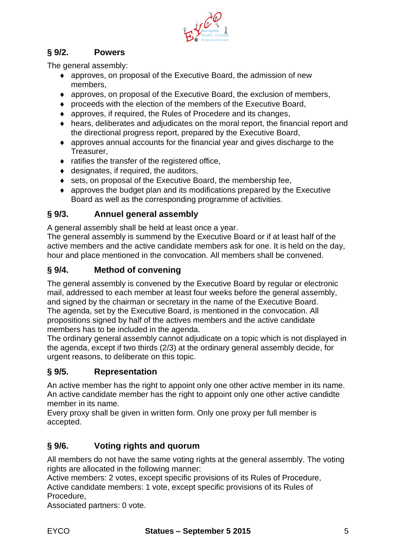

# **§ 9/2. Powers**

The general assembly:

- approves, on proposal of the Executive Board, the admission of new members,
- approves, on proposal of the Executive Board, the exclusion of members,
- proceeds with the election of the members of the Executive Board,
- approves, if required, the Rules of Procedere and its changes,
- hears, deliberates and adjudicates on the moral report, the financial report and the directional progress report, prepared by the Executive Board,
- approves annual accounts for the financial year and gives discharge to the Treasurer,
- $\bullet$  ratifies the transfer of the registered office,
- designates, if required, the auditors,
- ◆ sets, on proposal of the Executive Board, the membership fee,
- approves the budget plan and its modifications prepared by the Executive Board as well as the corresponding programme of activities.

## **§ 9/3. Annuel general assembly**

A general assembly shall be held at least once a year.

The general assembly is summend by the Executive Board or if at least half of the active members and the active candidate members ask for one. It is held on the day, hour and place mentioned in the convocation. All members shall be convened.

# **§ 9/4. Method of convening**

The general assembly is convened by the Executive Board by regular or electronic mail, addressed to each member at least four weeks before the general assembly, and signed by the chairman or secretary in the name of the Executive Board. The agenda, set by the Executive Board, is mentioned in the convocation. All propositions signed by half of the actives members and the active candidate members has to be included in the agenda.

The ordinary general assembly cannot adjudicate on a topic which is not displayed in the agenda, except if two thirds (2/3) at the ordinary general assembly decide, for urgent reasons, to deliberate on this topic.

# **§ 9/5. Representation**

An active member has the right to appoint only one other active member in its name. An active candidate member has the right to appoint only one other active candidte member in its name.

Every proxy shall be given in written form. Only one proxy per full member is accepted.

# **§ 9/6. Voting rights and quorum**

All members do not have the same voting rights at the general assembly. The voting rights are allocated in the following manner:

Active members: 2 votes, except specific provisions of its Rules of Procedure, Active candidate members: 1 vote, except specific provisions of its Rules of Procedure,

Associated partners: 0 vote.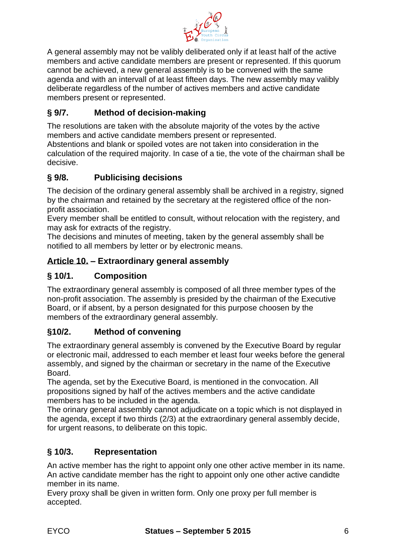

A general assembly may not be valibly deliberated only if at least half of the active members and active candidate members are present or represented. If this quorum cannot be achieved, a new general assembly is to be convened with the same agenda and with an intervall of at least fifteen days. The new assembly may valibly deliberate regardless of the number of actives members and active candidate members present or represented.

# **§ 9/7. Method of decision-making**

The resolutions are taken with the absolute majority of the votes by the active members and active candidate members present or represented.

Abstentions and blank or spoiled votes are not taken into consideration in the calculation of the required majority. In case of a tie, the vote of the chairman shall be decisive.

# **§ 9/8. Publicising decisions**

The decision of the ordinary general assembly shall be archived in a registry, signed by the chairman and retained by the secretary at the registered office of the nonprofit association.

Every member shall be entitled to consult, without relocation with the registery, and may ask for extracts of the registry.

The decisions and minutes of meeting, taken by the general assembly shall be notified to all members by letter or by electronic means.

## **Article 10. – Extraordinary general assembly**

# **§ 10/1. Composition**

The extraordinary general assembly is composed of all three member types of the non-profit association. The assembly is presided by the chairman of the Executive Board, or if absent, by a person designated for this purpose choosen by the members of the extraordinary general assembly.

## **§10/2. Method of convening**

The extraordinary general assembly is convened by the Executive Board by regular or electronic mail, addressed to each member et least four weeks before the general assembly, and signed by the chairman or secretary in the name of the Executive Board.

The agenda, set by the Executive Board, is mentioned in the convocation. All propositions signed by half of the actives members and the active candidate members has to be included in the agenda.

The orinary general assembly cannot adjudicate on a topic which is not displayed in the agenda, except if two thirds (2/3) at the extraordinary general assembly decide, for urgent reasons, to deliberate on this topic.

## **§ 10/3. Representation**

An active member has the right to appoint only one other active member in its name. An active candidate member has the right to appoint only one other active candidte member in its name.

Every proxy shall be given in written form. Only one proxy per full member is accepted.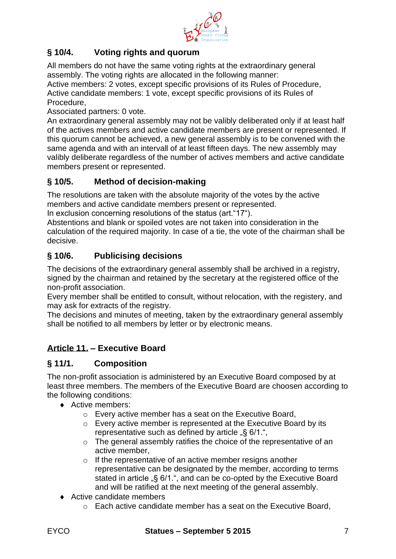

# **§ 10/4. Voting rights and quorum**

All members do not have the same voting rights at the extraordinary general assembly. The voting rights are allocated in the following manner:

Active members: 2 votes, except specific provisions of its Rules of Procedure, Active candidate members: 1 vote, except specific provisions of its Rules of Procedure,

Associated partners: 0 vote.

An extraordinary general assembly may not be valibly deliberated only if at least half of the actives members and active candidate members are present or represented. If this quorum cannot be achieved, a new general assembly is to be convened with the same agenda and with an intervall of at least fifteen days. The new assembly may valibly deliberate regardless of the number of actives members and active candidate members present or represented.

# **§ 10/5. Method of decision-making**

The resolutions are taken with the absolute majority of the votes by the active members and active candidate members present or represented.

In exclusion concerning resolutions of the status (art."17").

Abstentions and blank or spoiled votes are not taken into consideration in the calculation of the required majority. In case of a tie, the vote of the chairman shall be decisive.

# **§ 10/6. Publicising decisions**

The decisions of the extraordinary general assembly shall be archived in a registry, signed by the chairman and retained by the secretary at the registered office of the non-profit association.

Every member shall be entitled to consult, without relocation, with the registery, and may ask for extracts of the registry.

The decisions and minutes of meeting, taken by the extraordinary general assembly shall be notified to all members by letter or by electronic means.

# **Article 11. – Executive Board**

#### **§ 11/1. Composition**

The non-profit association is administered by an Executive Board composed by at least three members. The members of the Executive Board are choosen according to the following conditions:

- ◆ Active members:
	- o Every active member has a seat on the Executive Board,
	- o Every active member is represented at the Executive Board by its representative such as defined by article  $\sqrt{8}$  6/1.",
	- o The general assembly ratifies the choice of the representative of an active member,
	- $\circ$  If the representative of an active member resigns another representative can be designated by the member, according to terms stated in article <sub>"S</sub> 6/1.", and can be co-opted by the Executive Board and will be ratified at the next meeting of the general assembly.
- ◆ Active candidate members
	- o Each active candidate member has a seat on the Executive Board,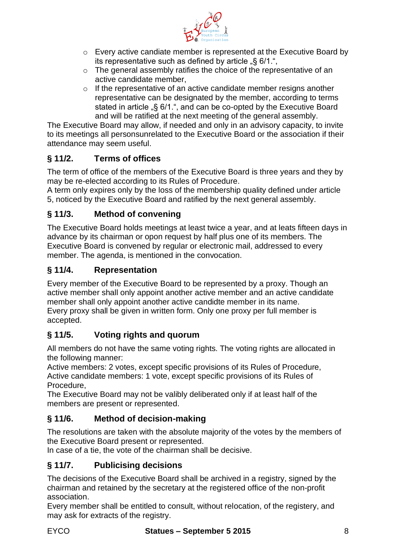

- o Every active candiate member is represented at the Executive Board by its representative such as defined by article  $\sqrt{8}$  6/1.",
- o The general assembly ratifies the choice of the representative of an active candidate member,
- $\circ$  If the representative of an active candidate member resigns another representative can be designated by the member, according to terms stated in article  $\sqrt{6}$  6/1.", and can be co-opted by the Executive Board and will be ratified at the next meeting of the general assembly.

The Executive Board may allow, if needed and only in an advisory capacity, to invite to its meetings all personsunrelated to the Executive Board or the association if their attendance may seem useful.

# **§ 11/2. Terms of offices**

The term of office of the members of the Executive Board is three years and they by may be re-elected according to its Rules of Procedure.

A term only expires only by the loss of the membership quality defined under article 5, noticed by the Executive Board and ratified by the next general assembly.

# **§ 11/3. Method of convening**

The Executive Board holds meetings at least twice a year, and at leats fifteen days in advance by its chairman or opon request by half plus one of its members. The Executive Board is convened by regular or electronic mail, addressed to every member. The agenda, is mentioned in the convocation.

# **§ 11/4. Representation**

Every member of the Executive Board to be represented by a proxy. Though an active member shall only appoint another active member and an active candidate member shall only appoint another active candidte member in its name. Every proxy shall be given in written form. Only one proxy per full member is accepted.

# **§ 11/5. Voting rights and quorum**

All members do not have the same voting rights. The voting rights are allocated in the following manner:

Active members: 2 votes, except specific provisions of its Rules of Procedure, Active candidate members: 1 vote, except specific provisions of its Rules of Procedure,

The Executive Board may not be valibly deliberated only if at least half of the members are present or represented.

# **§ 11/6. Method of decision-making**

The resolutions are taken with the absolute majority of the votes by the members of the Executive Board present or represented.

In case of a tie, the vote of the chairman shall be decisive.

# **§ 11/7. Publicising decisions**

The decisions of the Executive Board shall be archived in a registry, signed by the chairman and retained by the secretary at the registered office of the non-profit association.

Every member shall be entitled to consult, without relocation, of the registery, and may ask for extracts of the registry.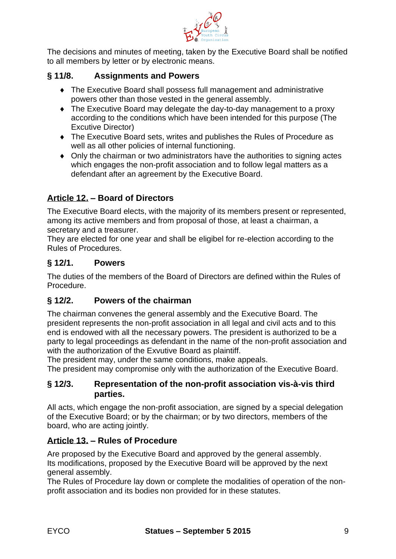

The decisions and minutes of meeting, taken by the Executive Board shall be notified to all members by letter or by electronic means.

# **§ 11/8. Assignments and Powers**

- The Executive Board shall possess full management and administrative powers other than those vested in the general assembly.
- The Executive Board may delegate the day-to-day management to a proxy according to the conditions which have been intended for this purpose (The Excutive Director)
- The Executive Board sets, writes and publishes the Rules of Procedure as well as all other policies of internal functioning.
- Only the chairman or two administrators have the authorities to signing actes which engages the non-profit association and to follow legal matters as a defendant after an agreement by the Executive Board.

# **Article 12. – Board of Directors**

The Executive Board elects, with the majority of its members present or represented, among its active members and from proposal of those, at least a chairman, a secretary and a treasurer.

They are elected for one year and shall be eligibel for re-election according to the Rules of Procedures.

### **§ 12/1. Powers**

The duties of the members of the Board of Directors are defined within the Rules of Procedure.

## **§ 12/2. Powers of the chairman**

The chairman convenes the general assembly and the Executive Board. The president represents the non-profit association in all legal and civil acts and to this end is endowed with all the necessary powers. The president is authorized to be a party to legal proceedings as defendant in the name of the non-profit association and with the authorization of the Exvutive Board as plaintiff.

The president may, under the same conditions, make appeals.

The president may compromise only with the authorization of the Executive Board.

#### **§ 12/3. Representation of the non-profit association vis-à-vis third parties.**

All acts, which engage the non-profit association, are signed by a special delegation of the Executive Board; or by the chairman; or by two directors, members of the board, who are acting jointly.

## **Article 13. – Rules of Procedure**

Are proposed by the Executive Board and approved by the general assembly. Its modifications, proposed by the Executive Board will be approved by the next general assembly.

The Rules of Procedure lay down or complete the modalities of operation of the nonprofit association and its bodies non provided for in these statutes.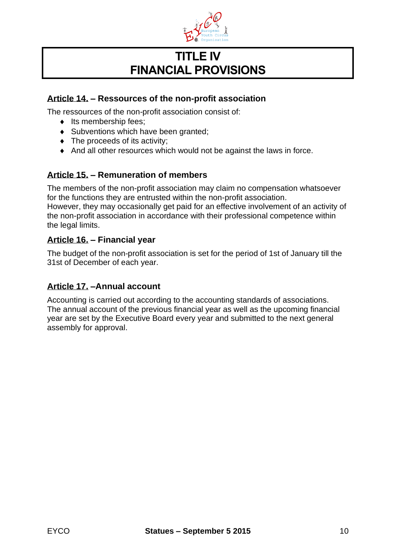

# **TITLE IV FINANCIAL PROVISIONS**

## **Article 14. – Ressources of the non-profit association**

The ressources of the non-profit association consist of:

- $\bullet$  Its membership fees;
- Subventions which have been granted;
- The proceeds of its activity;
- And all other resources which would not be against the laws in force.

### **Article 15. – Remuneration of members**

The members of the non-profit association may claim no compensation whatsoever for the functions they are entrusted within the non-profit association. However, they may occasionally get paid for an effective involvement of an activity of the non-profit association in accordance with their professional competence within the legal limits.

### **Article 16. – Financial year**

The budget of the non-profit association is set for the period of 1st of January till the 31st of December of each year.

#### **Article 17. –Annual account**

Accounting is carried out according to the accounting standards of associations. The annual account of the previous financial year as well as the upcoming financial year are set by the Executive Board every year and submitted to the next general assembly for approval.